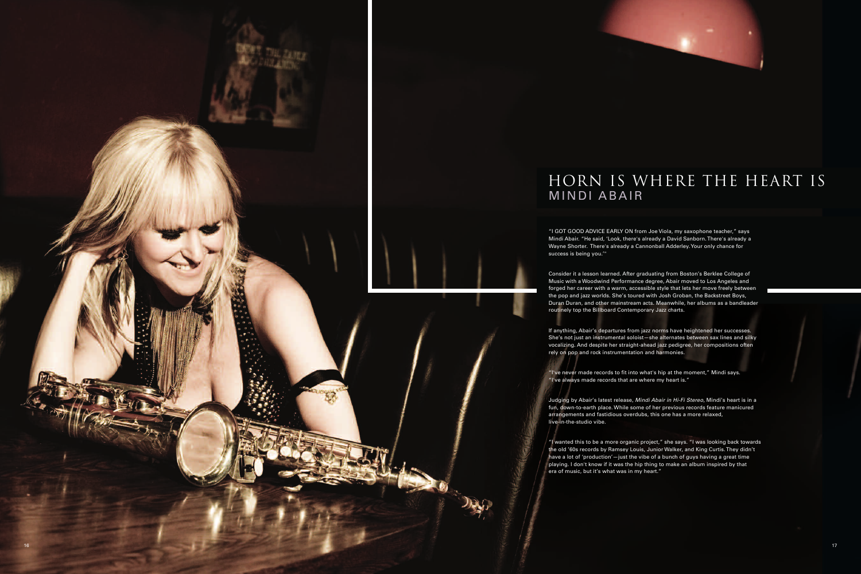

## HORN IS WHERE THE HEART IS

"I GOT GOOD ADVICE EARLY ON from Joe Viola, my saxophone teacher," says Mindi Abair. "He said, 'Look, there's already a David Sanborn.There's already a Wayne Shorter. There's already a Cannonball Adderley. Your only chance for

Consider it a lesson learned. After graduating from Boston's Berklee College of Music with a Woodwind Performance degree, Abair moved to Los Angeles and forged her career with a warm, accessible style that lets her move freely between the pop and jazz worlds. She's toured with Josh Groban, the Backstreet Boys, Duran Duran, and other mainstream acts. Meanwhile, her albums as a bandleader routinely top the Billboard Contemporary Jazz charts.

If anything, Abair's departures from jazz norms have heightened her successes. She's not just an instrumental soloist—she alternates between sax lines and silky vocalizing. And despite her straight-ahead jazz pedigree, her compositions often rely on pop and rock instrumentation and harmonies.

"I've never made records to fit into what's hip at the moment," Mindi says. "I've always made records that are where my heart is."

Judging by Abair's latest release, *Mindi Abair in Hi-Fi Stereo*, Mindi's heart is in a fun, down-to-earth place. While some of her previous records feature manicured arrangements and fastidious overdubs, this one has a more relaxed,

"I wanted this to be a more organic project," she says. "I was looking back towards the old '60s records by Ramsey Louis, Junior Walker, and King Curtis. They didn't have a lot of 'production'—just the vibe of a bunch of guys having a great time playing. I don't know if it was the hip thing to make an album inspired by that era of music, but it's what was in my heart."